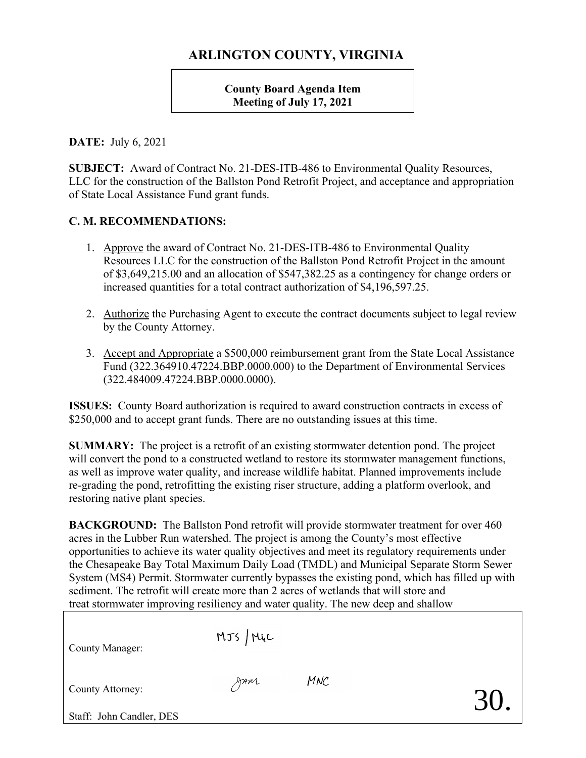## **ARLINGTON COUNTY, VIRGINIA**

**County Board Agenda Item Meeting of July 17, 2021**

**DATE:** July 6, 2021

**SUBJECT:** Award of Contract No. 21-DES-ITB-486 to Environmental Quality Resources, LLC for the construction of the Ballston Pond Retrofit Project, and acceptance and appropriation of State Local Assistance Fund grant funds.

## **C. M. RECOMMENDATIONS:**

- 1. Approve the award of Contract No. 21-DES-ITB-486 to Environmental Quality Resources LLC for the construction of the Ballston Pond Retrofit Project in the amount of \$3,649,215.00 and an allocation of \$547,382.25 as a contingency for change orders or increased quantities for a total contract authorization of \$4,196,597.25.
- 2. Authorize the Purchasing Agent to execute the contract documents subject to legal review by the County Attorney.
- 3. Accept and Appropriate a \$500,000 reimbursement grant from the State Local Assistance Fund (322.364910.47224.BBP.0000.000) to the Department of Environmental Services (322.484009.47224.BBP.0000.0000).

**ISSUES:** County Board authorization is required to award construction contracts in excess of \$250,000 and to accept grant funds. There are no outstanding issues at this time.

**SUMMARY:** The project is a retrofit of an existing stormwater detention pond. The project will convert the pond to a constructed wetland to restore its stormwater management functions, as well as improve water quality, and increase wildlife habitat. Planned improvements include re-grading the pond, retrofitting the existing riser structure, adding a platform overlook, and restoring native plant species.

**BACKGROUND:** The Ballston Pond retrofit will provide stormwater treatment for over 460 acres in the Lubber Run watershed. The project is among the County's most effective opportunities to achieve its water quality objectives and meet its regulatory requirements under the Chesapeake Bay Total Maximum Daily Load (TMDL) and Municipal Separate Storm Sewer System (MS4) Permit. Stormwater currently bypasses the existing pond, which has filled up with sediment. The retrofit will create more than 2 acres of wetlands that will store and treat stormwater improving resiliency and water quality. The new deep and shallow

|                          |            | $\frac{1}{2}$ . The compact the compact of the contract of the contract of the contract of the contract of the contract of the contract of the contract of the contract of the contract of the contract of the contract of the co |     |
|--------------------------|------------|-----------------------------------------------------------------------------------------------------------------------------------------------------------------------------------------------------------------------------------|-----|
| County Manager:          | $MJS$ /Mic |                                                                                                                                                                                                                                   |     |
| County Attorney:         | gran       | MNC                                                                                                                                                                                                                               | 30. |
| Staff: John Candler, DES |            |                                                                                                                                                                                                                                   |     |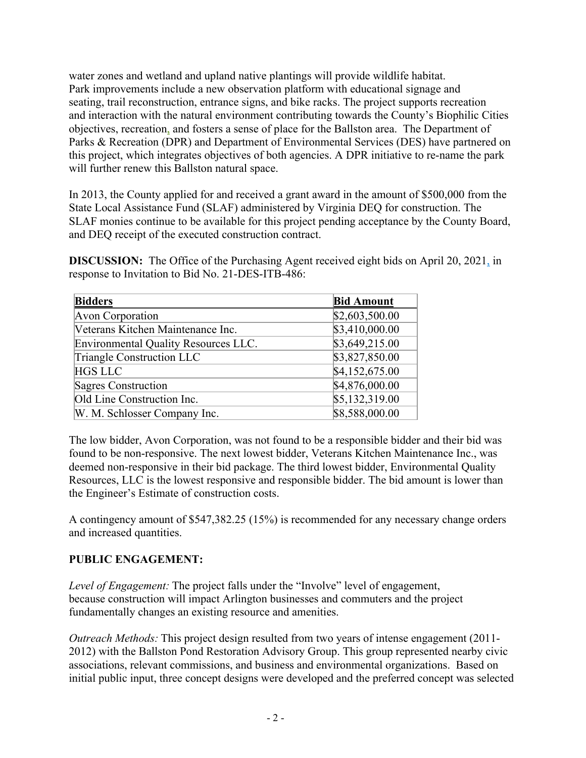water zones and wetland and upland native plantings will provide wildlife habitat. Park improvements include a new observation platform with educational signage and seating, trail reconstruction, entrance signs, and bike racks. The project supports recreation and interaction with the natural environment contributing towards the County's Biophilic Cities objectives, recreation, and fosters a sense of place for the Ballston area. The Department of Parks & Recreation (DPR) and Department of Environmental Services (DES) have partnered on this project, which integrates objectives of both agencies. A DPR initiative to re-name the park will further renew this Ballston natural space.

In 2013, the County applied for and received a grant award in the amount of \$500,000 from the State Local Assistance Fund (SLAF) administered by Virginia DEQ for construction. The SLAF monies continue to be available for this project pending acceptance by the County Board, and DEQ receipt of the executed construction contract.

**DISCUSSION:** The Office of the Purchasing Agent received eight bids on April 20, 2021, in response to Invitation to Bid No. 21-DES-ITB-486:

| <b>Bidders</b>                       | <b>Bid Amount</b> |
|--------------------------------------|-------------------|
| Avon Corporation                     | \$2,603,500.00    |
| Veterans Kitchen Maintenance Inc.    | \$3,410,000.00    |
| Environmental Quality Resources LLC. | \$3,649,215.00    |
| Triangle Construction LLC            | \$3,827,850.00    |
| <b>HGS LLC</b>                       | \$4,152,675.00    |
| Sagres Construction                  | \$4,876,000.00    |
| Old Line Construction Inc.           | \$5,132,319.00    |
| W. M. Schlosser Company Inc.         | \$8,588,000.00    |

The low bidder, Avon Corporation, was not found to be a responsible bidder and their bid was found to be non-responsive. The next lowest bidder, Veterans Kitchen Maintenance Inc., was deemed non-responsive in their bid package. The third lowest bidder, Environmental Quality Resources, LLC is the lowest responsive and responsible bidder. The bid amount is lower than the Engineer's Estimate of construction costs.

A contingency amount of \$547,382.25 (15%) is recommended for any necessary change orders and increased quantities.

## **PUBLIC ENGAGEMENT:**

*Level of Engagement:* The project falls under the "Involve" level of engagement, because construction will impact Arlington businesses and commuters and the project fundamentally changes an existing resource and amenities.

*Outreach Methods:* This project design resulted from two years of intense engagement (2011- 2012) with the Ballston Pond Restoration Advisory Group. This group represented nearby civic associations, relevant commissions, and business and environmental organizations. Based on initial public input, three concept designs were developed and the preferred concept was selected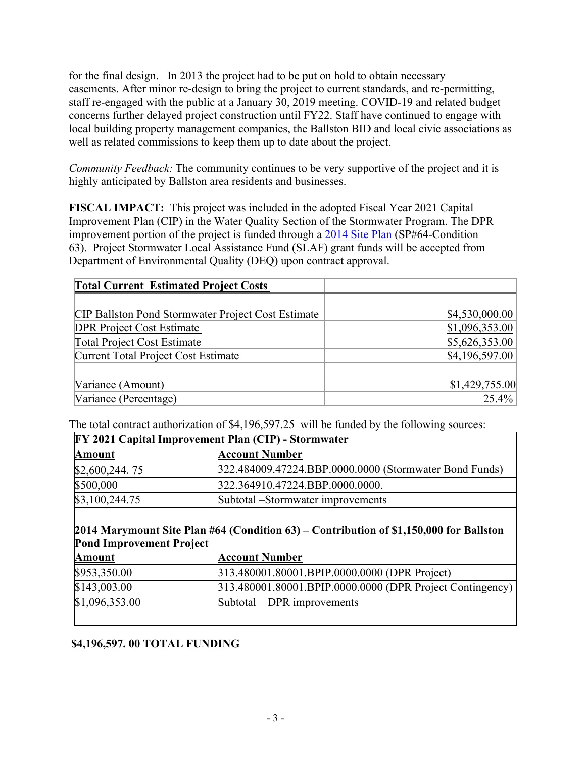for the final design. In 2013 the project had to be put on hold to obtain necessary easements. After minor re-design to bring the project to current standards, and re-permitting, staff re-engaged with the public at a January 30, 2019 meeting. COVID-19 and related budget concerns further delayed project construction until FY22. Staff have continued to engage with local building property management companies, the Ballston BID and local civic associations as well as related commissions to keep them up to date about the project.

*Community Feedback:* The community continues to be very supportive of the project and it is highly anticipated by Ballston area residents and businesses.

**FISCAL IMPACT:** This project was included in the adopted Fiscal Year 2021 Capital Improvement Plan (CIP) in the Water Quality Section of the Stormwater Program. The DPR improvement portion of the project is funded through a [2014 Site Plan](http://arlington.granicus.com/MetaViewer.php?view_id=2&event_id=648&meta_id=117169) (SP#64-Condition 63). Project Stormwater Local Assistance Fund (SLAF) grant funds will be accepted from Department of Environmental Quality (DEQ) upon contract approval.

| <b>Total Current Estimated Project Costs</b>              |                |
|-----------------------------------------------------------|----------------|
|                                                           |                |
| <b>CIP Ballston Pond Stormwater Project Cost Estimate</b> | \$4,530,000.00 |
| <b>DPR Project Cost Estimate</b>                          | \$1,096,353.00 |
| <b>Total Project Cost Estimate</b>                        | \$5,626,353.00 |
| Current Total Project Cost Estimate                       | \$4,196,597.00 |
|                                                           |                |
| Variance (Amount)                                         | \$1,429,755.00 |
| Variance (Percentage)                                     | 25.4%          |

The total contract authorization of \$4,196,597.25 will be funded by the following sources:

| <b>FY 2021 Capital Improvement Plan (CIP) - Stormwater</b>                             |                                                           |  |  |
|----------------------------------------------------------------------------------------|-----------------------------------------------------------|--|--|
| <b>Amount</b>                                                                          | Account Number                                            |  |  |
| \$2,600,244.75                                                                         | 322.484009.47224.BBP.0000.0000 (Stormwater Bond Funds)    |  |  |
| \$500,000                                                                              | 322.364910.47224.BBP.0000.0000.                           |  |  |
| \$3,100,244.75                                                                         | Subtotal –Stormwater improvements                         |  |  |
|                                                                                        |                                                           |  |  |
| 2014 Marymount Site Plan #64 (Condition 63) – Contribution of \$1,150,000 for Ballston |                                                           |  |  |
| <b>Pond Improvement Project</b>                                                        |                                                           |  |  |
| <b>Amount</b>                                                                          | Account Number                                            |  |  |
| \$953,350.00                                                                           | 313.480001.80001.BPIP.0000.0000 (DPR Project)             |  |  |
| \$143,003.00                                                                           | 313.480001.80001.BPIP.0000.0000 (DPR Project Contingency) |  |  |
| \$1,096,353.00                                                                         | Subtotal – DPR improvements                               |  |  |

## **\$4,196,597. 00 TOTAL FUNDING**